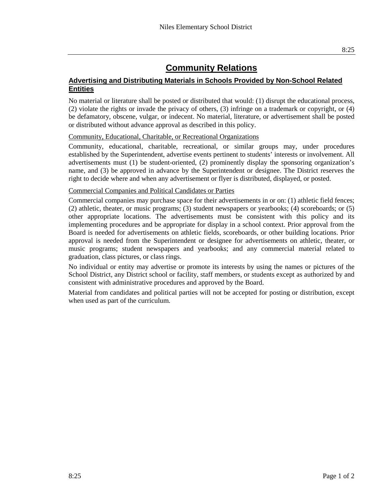## **Community Relations**

## **Advertising and Distributing Materials in Schools Provided by Non-School Related Entities**

No material or literature shall be posted or distributed that would: (1) disrupt the educational process, (2) violate the rights or invade the privacy of others, (3) infringe on a trademark or copyright, or (4) be defamatory, obscene, vulgar, or indecent. No material, literature, or advertisement shall be posted or distributed without advance approval as described in this policy.

Community, Educational, Charitable, or Recreational Organizations

Community, educational, charitable, recreational, or similar groups may, under procedures established by the Superintendent, advertise events pertinent to students' interests or involvement. All advertisements must (1) be student-oriented, (2) prominently display the sponsoring organization's name, and (3) be approved in advance by the Superintendent or designee. The District reserves the right to decide where and when any advertisement or flyer is distributed, displayed, or posted.

## Commercial Companies and Political Candidates or Parties

Commercial companies may purchase space for their advertisements in or on: (1) athletic field fences; (2) athletic, theater, or music programs; (3) student newspapers or yearbooks; (4) scoreboards; or (5) other appropriate locations. The advertisements must be consistent with this policy and its implementing procedures and be appropriate for display in a school context. Prior approval from the Board is needed for advertisements on athletic fields, scoreboards, or other building locations. Prior approval is needed from the Superintendent or designee for advertisements on athletic, theater, or music programs; student newspapers and yearbooks; and any commercial material related to graduation, class pictures, or class rings.

No individual or entity may advertise or promote its interests by using the names or pictures of the School District, any District school or facility, staff members, or students except as authorized by and consistent with administrative procedures and approved by the Board.

Material from candidates and political parties will not be accepted for posting or distribution, except when used as part of the curriculum.